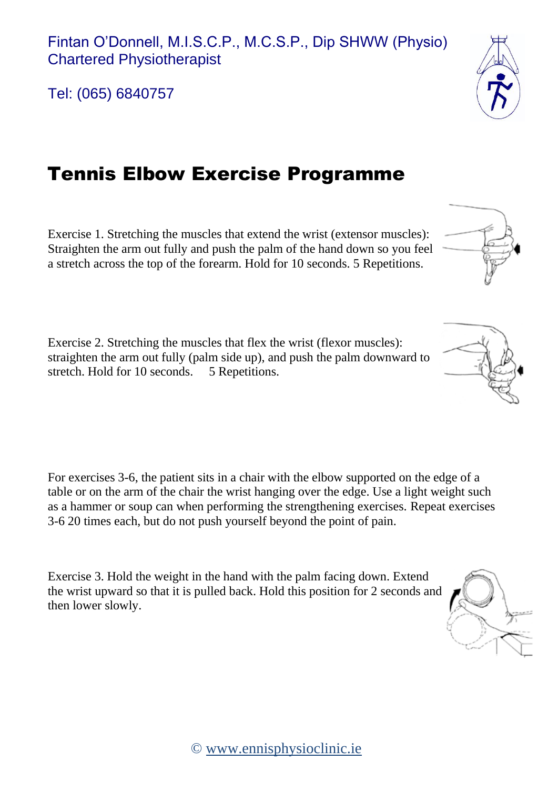Tel: (065) 6840757

## Tennis Elbow Exercise Programme

Straighten the arm out fully and push the palm of the hand down so you feel a stretch across the top of the forearm. Hold for 10 seconds. 5 Repetitions.

Exercise 1. Stretching the muscles that extend the wrist (extensor muscles):

Exercise 2. Stretching the muscles that flex the wrist (flexor muscles): straighten the arm out fully (palm side up), and push the palm downward to stretch. Hold for 10 seconds. 5 Repetitions.

For exercises 3-6, the patient sits in a chair with the elbow supported on the edge of a table or on the arm of the chair the wrist hanging over the edge. Use a light weight such as a hammer or soup can when performing the strengthening exercises. Repeat exercises 3-6 20 times each, but do not push yourself beyond the point of pain.

Exercise 3. Hold the weight in the hand with the palm facing down. Extend the wrist upward so that it is pulled back. Hold this position for 2 seconds and then lower slowly.